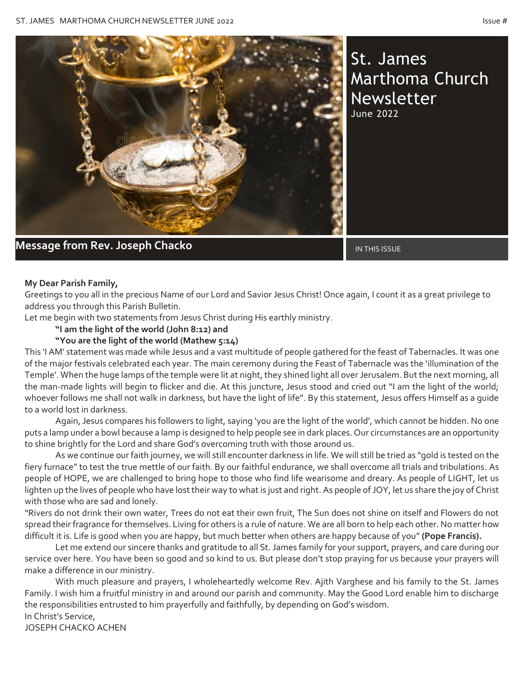

St. James Marthoma Church Newsletter June 2022

**Message from Rev. Joseph Chacko International Construction of the IN** IN THIS ISSUE

### **My Dear Parish Family,**

Greetings to you all in the precious Name of our Lord and Savior Jesus Christ! Once again, I count it as a great privilege to address you through this Parish Bulletin.

Let me begin with two statements from Jesus Christ during His earthly ministry.

**"I am the light of the world (John 8:12) and**

### **"You are the light of the world (Mathew 5:14)**

This 'I AM' statement was made while Jesus and a vast multitude of people gathered for the feast of Tabernacles. It was one of the major festivals celebrated each year. The main ceremony during the Feast of Tabernacle was the 'illumination of the Temple'. When the huge lamps of the temple were lit at night, they shined light all over Jerusalem. But the next morning, all the man-made lights will begin to flicker and die. At this juncture, Jesus stood and cried out "I am the light of the world; whoever follows me shall not walk in darkness, but have the light of life". By this statement, Jesus offers Himself as a guide to a world lost in darkness.

Again, Jesus compares his followers to light, saying 'you are the light of the world', which cannot be hidden. No one puts a lamp under a bowl because a lamp is designed to help people see in dark places. Our circumstances are an opportunity to shine brightly for the Lord and share God's overcoming truth with those around us.

As we continue our faith journey, we will still encounter darkness in life. We will still be tried as "gold is tested on the fiery furnace" to test the true mettle of our faith. By our faithful endurance, we shall overcome all trials and tribulations. As people of HOPE, we are challenged to bring hope to those who find life wearisome and dreary. As people of LIGHT, let us lighten up the lives of people who have lost their way to what is just and right. As people of JOY, let us share the joy of Christ with those who are sad and lonely.

"Rivers do not drink their own water, Trees do not eat their own fruit, The Sun does not shine on itself and Flowers do not spread their fragrance for themselves. Living for others is a rule of nature. We are all born to help each other. No matter how difficult it is. Life is good when you are happy, but much better when others are happy because of you" **(Pope Francis).**

Let me extend our sincere thanks and gratitude to all St. James family for your support, prayers, and care during our service over here. You have been so good and so kind to us. But please don't stop praying for us because your prayers will make a difference in our ministry.

With much pleasure and prayers, I wholeheartedly welcome Rev. Ajith Varghese and his family to the St. James Family. I wish him a fruitful ministry in and around our parish and community. May the Good Lord enable him to discharge the responsibilities entrusted to him prayerfully and faithfully, by depending on God's wisdom. In Christ's Service,

JOSEPH CHACKO ACHEN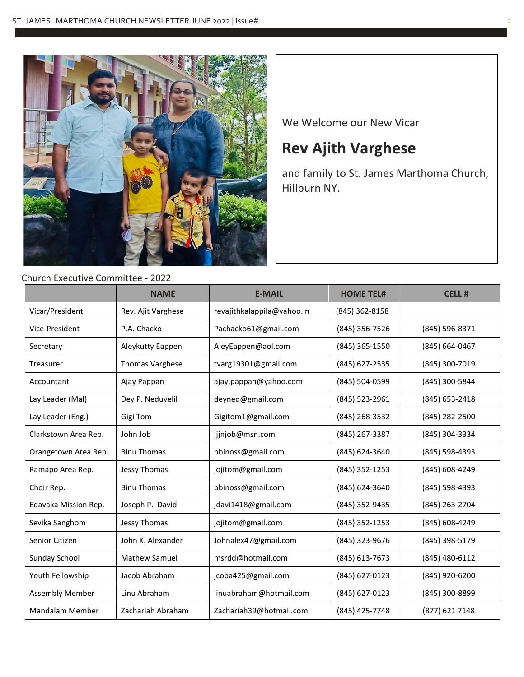

## Church Executive Committee - 2022

We Welcome our New Vicar

# **Rev Ajith Varghese**

and family to St. James Marthoma Church, Hillburn NY.

|                        | <b>NAME</b>          | <b>E-MAIL</b>              | <b>HOME TEL#</b> | <b>CELL#</b>   |
|------------------------|----------------------|----------------------------|------------------|----------------|
| Vicar/President        | Rev. Ajit Varghese   | revajithkalappila@yahoo.in | (845) 362-8158   |                |
| Vice-President         | P.A. Chacko          | Pachacko61@gmail.com       | (845) 356-7526   | (845) 596-8371 |
| Secretary              | Aleykutty Eappen     | AleyEappen@aol.com         | (845) 365-1550   | (845) 664-0467 |
| Treasurer              | Thomas Varghese      | tvarg19301@gmail.com       | (845) 627-2535   | (845) 300-7019 |
| Accountant             | Ajay Pappan          | ajay.pappan@yahoo.com      | (845) 504-0599   | (845) 300-5844 |
| Lay Leader (Mal)       | Dey P. Neduvelil     | deyned@gmail.com           | (845) 523-2961   | (845) 653-2418 |
| Lay Leader (Eng.)      | Gigi Tom             | Gigitom1@gmail.com         | (845) 268-3532   | (845) 282-2500 |
| Clarkstown Area Rep.   | John Job             | jjjnjob@msn.com            | (845) 267-3387   | (845) 304-3334 |
| Orangetown Area Rep.   | <b>Binu Thomas</b>   | bbinoss@gmail.com          | (845) 624-3640   | (845) 598-4393 |
| Ramapo Area Rep.       | Jessy Thomas         | jojitom@gmail.com          | (845) 352-1253   | (845) 608-4249 |
| Choir Rep.             | <b>Binu Thomas</b>   | bbinoss@gmail.com          | (845) 624-3640   | (845) 598-4393 |
| Edavaka Mission Rep.   | Joseph P. David      | jdavi1418@gmail.com        | (845) 352-9435   | (845) 263-2704 |
| Sevika Sanghom         | <b>Jessy Thomas</b>  | jojitom@gmail.com          | (845) 352-1253   | (845) 608-4249 |
| Senior Citizen         | John K. Alexander    | Johnalex47@gmail.com       | (845) 323-9676   | (845) 398-5179 |
| Sunday School          | <b>Mathew Samuel</b> | msrdd@hotmail.com          | (845) 613-7673   | (845) 480-6112 |
| Youth Fellowship       | Jacob Abraham        | jcoba425@gmail.com         | (845) 627-0123   | (845) 920-6200 |
| <b>Assembly Member</b> | Linu Abraham         | linuabraham@hotmail.com    | (845) 627-0123   | (845) 300-8899 |
| <b>Mandalam Member</b> | Zachariah Abraham    | Zachariah39@hotmail.com    | (845) 425-7748   | (877) 621 7148 |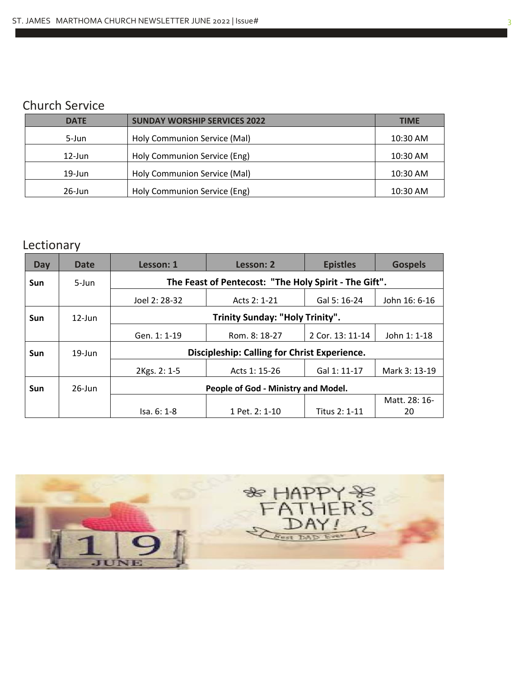## Church Service

| <b>DATE</b> | <b>SUNDAY WORSHIP SERVICES 2022</b> | <b>TIME</b> |
|-------------|-------------------------------------|-------------|
| 5-Jun       | Holy Communion Service (Mal)        | 10:30 AM    |
| $12$ -Jun   | Holy Communion Service (Eng)        | 10:30 AM    |
| $19$ -Jun   | Holy Communion Service (Mal)        | 10:30 AM    |
| 26-Jun      | Holy Communion Service (Eng)        | 10:30 AM    |

# Lectionary

| Day        | Date      | Lesson: 1                                             | Lesson: 2      | <b>Epistles</b>  | <b>Gospels</b> |
|------------|-----------|-------------------------------------------------------|----------------|------------------|----------------|
| <b>Sun</b> | $5 - Jun$ | The Feast of Pentecost: "The Holy Spirit - The Gift". |                |                  |                |
|            |           | Joel 2: 28-32                                         | Acts 2: 1-21   | Gal 5: 16-24     | John 16: 6-16  |
| <b>Sun</b> | $12$ -lun | Trinity Sunday: "Holy Trinity".                       |                |                  |                |
|            |           | Gen. 1: 1-19                                          | Rom. 8: 18-27  | 2 Cor. 13: 11-14 | John 1: 1-18   |
| <b>Sun</b> | $19$ -Jun | <b>Discipleship: Calling for Christ Experience.</b>   |                |                  |                |
|            |           | 2Kgs. 2: 1-5                                          | Acts 1: 15-26  | Gal 1: 11-17     | Mark 3: 13-19  |
| <b>Sun</b> | $26$ -Jun | People of God - Ministry and Model.                   |                |                  |                |
|            |           |                                                       |                |                  | Matt. 28: 16-  |
|            |           | Isa. 6: 1-8                                           | 1 Pet. 2: 1-10 | Titus 2: 1-11    | 20             |